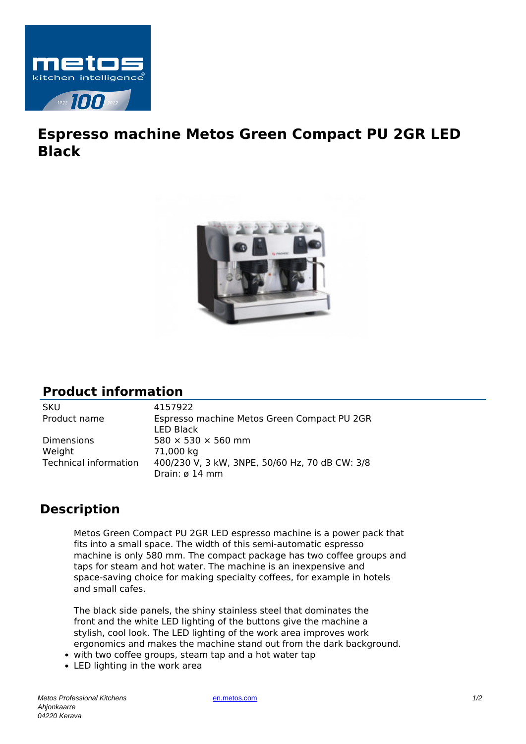

## **Espresso machine Metos Green Compact PU 2GR LED Black**



## **Product information**

Dimensions  $580 \times 530 \times 560$  mm Weight 71,000 kg

SKU 4157922 Product name Espresso machine Metos Green Compact PU 2GR LED Black Technical information 400/230 V, 3 kW, 3NPE, 50/60 Hz, 70 dB CW: 3/8 Drain: ø 14 mm

## **Description**

Metos Green Compact PU 2GR LED espresso machine is a power pack that fits into a small space. The width of this semi-automatic espresso machine is only 580 mm. The compact package has two coffee groups and taps for steam and hot water. The machine is an inexpensive and space-saving choice for making specialty coffees, for example in hotels and small cafes.

The black side panels, the shiny stainless steel that dominates the front and the white LED lighting of the buttons give the machine a stylish, cool look. The LED lighting of the work area improves work ergonomics and makes the machine stand out from the dark background.

- with two coffee groups, steam tap and a hot water tap
- LED lighting in the work area